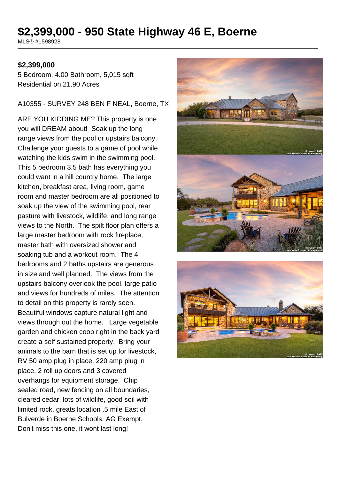# **\$2,399,000 - 950 State Highway 46 E, Boerne**

MLS® #1598928

#### **\$2,399,000**

5 Bedroom, 4.00 Bathroom, 5,015 sqft Residential on 21.90 Acres

A10355 - SURVEY 248 BEN F NEAL, Boerne, TX

ARE YOU KIDDING ME? This property is one you will DREAM about! Soak up the long range views from the pool or upstairs balcony. Challenge your guests to a game of pool while watching the kids swim in the swimming pool. This 5 bedroom 3.5 bath has everything you could want in a hill country home. The large kitchen, breakfast area, living room, game room and master bedroom are all positioned to soak up the view of the swimming pool, rear pasture with livestock, wildlife, and long range views to the North. The spilt floor plan offers a large master bedroom with rock fireplace, master bath with oversized shower and soaking tub and a workout room. The 4 bedrooms and 2 baths upstairs are generous in size and well planned. The views from the upstairs balcony overlook the pool, large patio and views for hundreds of miles. The attention to detail on this property is rarely seen. Beautiful windows capture natural light and views through out the home. Large vegetable garden and chicken coop right in the back yard create a self sustained property. Bring your animals to the barn that is set up for livestock, RV 50 amp plug in place, 220 amp plug in place, 2 roll up doors and 3 covered overhangs for equipment storage. Chip sealed road, new fencing on all boundaries, cleared cedar, lots of wildlife, good soil with limited rock, greats location .5 mile East of Bulverde in Boerne Schools. AG Exempt. Don't miss this one, it wont last long!



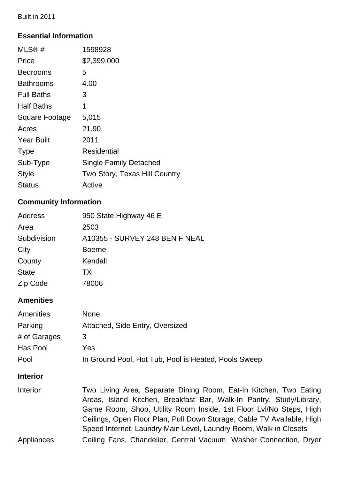Built in 2011

# **Essential Information**

| MLS@#                 | 1598928                       |
|-----------------------|-------------------------------|
| Price                 | \$2,399,000                   |
| <b>Bedrooms</b>       | 5                             |
| <b>Bathrooms</b>      | 4.00                          |
| <b>Full Baths</b>     | 3                             |
| <b>Half Baths</b>     | 1                             |
| <b>Square Footage</b> | 5,015                         |
| Acres                 | 21.90                         |
| <b>Year Built</b>     | 2011                          |
| <b>Type</b>           | Residential                   |
| Sub-Type              | <b>Single Family Detached</b> |
| <b>Style</b>          | Two Story, Texas Hill Country |
| Status                | Active                        |

# **Community Information**

| <b>Address</b> | 950 State Highway 46 E         |
|----------------|--------------------------------|
| Area           | 2503                           |
| Subdivision    | A10355 - SURVEY 248 BEN F NEAL |
| City           | <b>Boerne</b>                  |
| County         | Kendall                        |
| <b>State</b>   | TX.                            |
| Zip Code       | 78006                          |
|                |                                |

# **Amenities**

| <b>None</b>                                          |
|------------------------------------------------------|
| Attached, Side Entry, Oversized                      |
| 3                                                    |
| Yes                                                  |
| In Ground Pool, Hot Tub, Pool is Heated, Pools Sweep |
|                                                      |

## **Interior**

| <b>Interior</b> | Two Living Area, Separate Dining Room, Eat-In Kitchen, Two Eating      |
|-----------------|------------------------------------------------------------------------|
|                 | Areas, Island Kitchen, Breakfast Bar, Walk-In Pantry, Study/Library,   |
|                 | Game Room, Shop, Utility Room Inside, 1st Floor Lvl/No Steps, High     |
|                 | Ceilings, Open Floor Plan, Pull Down Storage, Cable TV Available, High |
|                 | Speed Internet, Laundry Main Level, Laundry Room, Walk in Closets      |
| Appliances      | Ceiling Fans, Chandelier, Central Vacuum, Washer Connection, Dryer     |